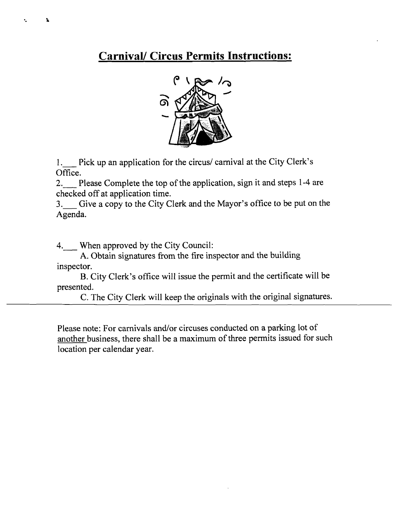## **Carnival/ Circus Permits Instructions:**



 $\sqrt{\frac{1}{2}}$  Pick up an application for the circus/ carnival at the City Clerk's Office. 2. Pick up an application for the circus/ carnival at the City Clerk's<br>2. Please Complete the top of the application, sign it and steps 1-4 are<br>checked off at application time.

checked off at application time.

**3.-** Give a copy to the City Clerk and the Mayor's office to be put on the Agenda.

4. When approved by the City Council:

 $\mathbf{r}_\perp$ 

À

**A.** Obtain signatures from the fire inspector and the building inspector.

B. City Clerk's office will issue the permit and the certificate will be presented.

C. The City Clerk will keep the originals with the original signatures.

Please note: For carnivals and/or circuses conducted on a parking lot of another business, there shall be a maximum of three permits issued for such location per calendar year.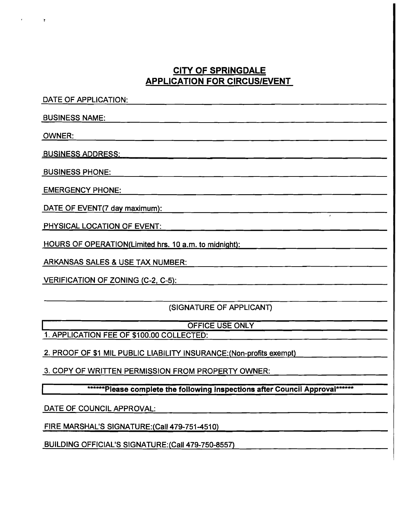### **CITY OF SPRINGDALE APPLICATION FOR CIRCUSIEVENT**

DATE OF APPLICATION: BUSINESS NAME: OWNER: BUSINESS ADDRESS: BUSINESS PHONE: EMERGENCY PHONE: DATE OF EVENT(7 day maximum): PHYSICAL LOCATION OF EVENT: HOURS OF OPERATION(Limited hrs. 10 a.m. to midnight): ARKANSAS SALES & USE TAX NUMBER: VERIFICA'TION OF ZONING (C-2, C-5):

(SIGNATURE OF APPLICANT)

OFFICE USE ONLY

1. APPLICATION FEE OF \$100.00 COLLECTED:

2. PROOF OF \$1 MIL PUBLIC LIABILITY INSURANCE:(Non-profits exempt)

3. COPY OF WRITTEN PERMISSION FROM PROPERTY OWNER:

\*\*\*\*\*\*Please complete the following inspections after Council Approval\*\*\*\*\*\*

DATE OF COUNCIL APPROVAL:

FIRE MARSHAL'S **SIGNATURE:(Call479-751-4510)** 

BUILDING OFFICIAL'S **SIGNATURE:(Call479-750-8557)**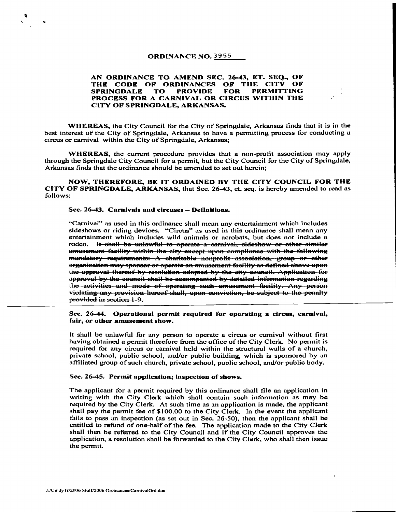#### **ORDINANCE NO. 3955**

#### **AN ORDINANCE TO AMEND SEC. 2643, ET. SEQ., OF THE CODE OF ORDINANCES OP THE CITY OF SPRINGDALE TO PROCESS FOR A CARNIVAL OR CIRCUS WITHIN THE CITY OF SPRINCDALE, ARKANSAS.**

**WHEREAS, the City Council for the City of Springdale, Arkansas finds that it is in the** best interest of the City of Springdale, Arkansas to have a permitting process for conducting a circus or carnival within the City of Springdale, Arkansas;

**WHEREAS,** the current procedure provides thut a non-profit association may apply through the Springdale City Council for a permit, but the City Council for the City of Springdale, Arkansas finds that the ordinance should be amended to set out herein;

**NOW, THEREFORE, BE IT ORDAINED BY THE CITY COUNCIL FOR THE CITY OF SPRINCDALE, ARKANSAS,** that Sec. 2643, et. seq. is hereby mended to rcad **M**  follows:

#### **Sec. 26-43. Carnivals and circuses** - **Definitions.**

"Carnival" as used in this ordinance shall mean any entertainment which includes sideshows or riding devices. "Circus" as used in this ordinance shall mean any entertainment which includes wild animals or acrobats, but does not include a **ENTERE AS A CONSTRANT SECT AN ANYION AND SECT AND THE CITY OF THE CITY OF SPENINGDALE TO PROVIDE FOR PERMITTINT PROCESS FOR A CARNIVAL OR CIRCUS WITHIN THE CITY OF PROVIDE FOR PERMITTINT PROCESS FOR A CARNIVAL OR CIRCUS** 

#### **Sec. 26-44. Operational permit required for opcrating a circus, carnival, fair, or other amusement show.**

It shall be unlawful for any person to operate a circus or carnival without first having obtained a permit therefore from the office of the City Clerk. No permit is required for any circus or carnival held within the structural walls of a church, private school, public school, and/or public building, which is sponsored by an at'tiliated group of such church, private school, public school, and/or public body.

#### **Sec. 26-45. Pcrrnit application; inspection of shows.**

The applicant tor a permit required by this ordinance shall tile an application in writing with the City Clerk which shall contain such information **as** may be required by the City Clerk. At such time as an application is made, the applicant shall pay the permit fee of  $$100.00$  to the City Clerk. In the event the applicant fails to pass an inspection (as set out in Sec. 26-50), then the applicant shall be entitled to refund of one-half of the fee. The application made to the City Clerk shall then be referred to the City Council and if the City Council approvea the application, a resolution shall be forwarded to the City Clerk, who shall then issue the permit.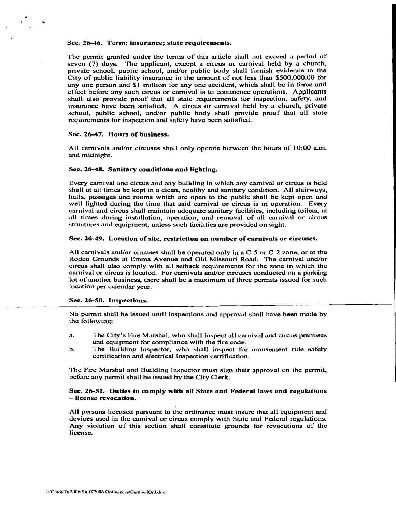#### Sec. 26-46. Term; insurance; state requirements.

The permit granted under the terms of this article shall not exceed a period of seven (7) days. The applicant, except a circus or carnival held by a church, private school, public school, and/or public body shall furnish evidence to the City of public linbility insurance in the amount of not less than \$500,000.00 tbr any one person and  $$1$  million for any one accident, which shall be in force and effect before any such circus or carnival is to commence operations. Applicants shall also provide proof that all state requirements for inspection, safety, and insurance have been satistied. A circus or carnival held by a church, private school, public school, and/or public body shall provide proof that all state requirements for inspection and safety have been satisfied.

#### **Sec. 26-47. llours of business.**

All carnivals and/or circuses shall only opernte between the hours of 10:00 a.m. and midnight.

#### **Sec. 26-48. Sanitary conditions and lighting.**

Every carnival and circus and any building in which any carnival or circus is held shall at all times be kept in a clean, healthy and sanitary condition. All stairways, halls, passages and rooms which are open to the public shall be kept open and well lighted during the time that said carnival or circus is in operation. Every carnival and circus shall maintain adequate sanitary fncilities, including toilets, at all times during installation, operation, and removal of all carnival or circus structures and equipment, unless such facilities are provided on sight.

#### **Sec. 26-49. Location of site, restriction on number of.carnivals or circuses.**

All carnivuls and/or circuses shall be operated only in a C-5 or C-2 zone, or at the Rodeo Grounds at Emma Avenue and Old Missouri Road. The carnival and/or circus shall also comply with all setback requirements for the zone in which the carnival or circus is located. For carnivals and/or circuses conducted on a parking lot of mother business, there shall be a maximum of three permits issued for such location per calendar year.

#### **Sec. 26-50. Inspections.**

No permit shall be issued until inspections and approvul shall have been made by the following:

- a. 'The City's Fire Marshal, who shall inspect all carnival and circus premises and equipment for compliance with the fire code.
- b. The Building Inspector, who shall inspect for amusement ride safety certification nnd electrical inspection certification.

The Fire Marshal and Building Inspector must sign their approval on the permit, before any permit shall be issued by the City Clerk.

# Sec. 26-51. Duties to comply with all State and Federai laws and regulations<br>— license revocation.

All persons licensed pursuant to the ordinance must insure that all equipment and devices used in the carnival or circus comply with State and Federal regulations. Any violation of this section shall constitute grounds for revocations of the license.